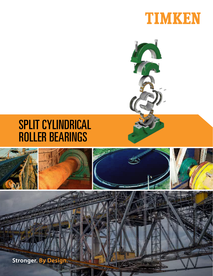



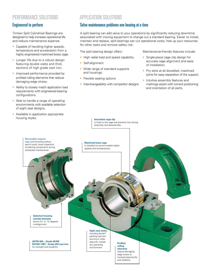## PERFORMANCE SOLUTIONS

### Engineered to perform

Timken Split Cylindrical Bearings are designed to help increase operational life and reduce maintenance expense.

- Capable of handling higher speeds, temperature and acceleration from a highly engineered machined brass cage.
- Longer life due to a robust design featuring double webs and thick sections of high grade cast iron.
- Improved performance provided by profiled rolling elements that reduce damaging edge stress.
- Ability to closely match application load requirements with engineered bearing configurations.
- Able to handle a range of operating environments with available selection of eight seal designs.
- Available in application appropriate housing styles.

# APPLICATION SOLUTIONS

#### Solve maintenance problems one bearing at a time

A split bearing can add value to your operations by significantly reducing downtime associated with moving equipment to change out a standard bearing. Easier to install, maintain and replace, split bearings can cut operational costs, free up your resources for other tasks and remove safety risk.

The split bearing design offers:

- High radial load and speed capability
- Self-alignment
- Wide range of standard supports and housings
- Flexible sealing options
- Interchangeability with competitor designs

Maintenance-friendly features include:

- Single-piece cage clip design for accurate cage alignment and ease of installation.
- Pry slots at all dowelled, machined joints for easy separation of the support.
- Intuitive assembly features and markings assist with correct positioning and orientation of all parts.

**Innovative cage clip** is fixed to the cage and prevents loss during assembly and disassembly.

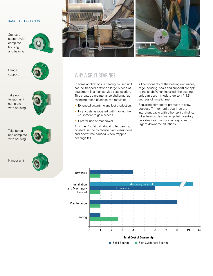#### RANGE OF HOUSINGS

**Standard** support with complete housing and bearing



Flange support



Take up tension unit complete with housing



Take up pull unit complete with housing



Hanger unit









# WHY A SPLIT BEARING?

In some applications, a bearing housed unit can be trapped between large pieces of equipment in a high service cost location. This creates a maintenance challenge, as changing these bearings can result in:

- Extended downtime and lost production.
- High costs associated with moving the equipment to gain access.
- Greater use of manpower.

A Timken® split cylindrical roller bearing housed unit helps reduce plant disruptions and downtime caused when trapped bearings fail.

All components of the bearing unit (races, cage, housing, seals and support) are split to the shaft. When installed, the bearing unit can accommodate up to +/- 1.5 degrees of misalignment.

Replacing competitor products is easy, because Timken split bearings are interchangeable with other split cylindrical roller bearing designs. A global inventory provides rapid service in response to urgent downtime situations.